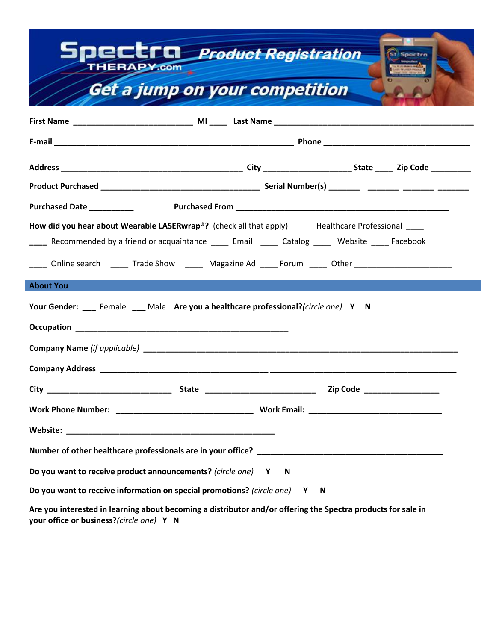| THERAPY.com                                                                                                                                              | <b>DECEFEL Product Registration</b> | <b>ST</b> Spectro                                                                                    |  |
|----------------------------------------------------------------------------------------------------------------------------------------------------------|-------------------------------------|------------------------------------------------------------------------------------------------------|--|
| Get a jump on your competition                                                                                                                           |                                     |                                                                                                      |  |
|                                                                                                                                                          |                                     |                                                                                                      |  |
|                                                                                                                                                          |                                     |                                                                                                      |  |
|                                                                                                                                                          |                                     |                                                                                                      |  |
|                                                                                                                                                          |                                     |                                                                                                      |  |
|                                                                                                                                                          |                                     |                                                                                                      |  |
| How did you hear about Wearable LASERwrap®? (check all that apply) Healthcare Professional                                                               |                                     |                                                                                                      |  |
|                                                                                                                                                          |                                     | Recommended by a friend or acquaintance _____ Email _____ Catalog _____ Website _____ Facebook       |  |
|                                                                                                                                                          |                                     | Online search _______ Trade Show _______ Magazine Ad _____ Forum ______ Other ______________________ |  |
| <b>About You</b>                                                                                                                                         |                                     |                                                                                                      |  |
| Your Gender: ___ Female ___ Male Are you a healthcare professional?(circle one) Y N                                                                      |                                     |                                                                                                      |  |
|                                                                                                                                                          |                                     |                                                                                                      |  |
|                                                                                                                                                          |                                     |                                                                                                      |  |
|                                                                                                                                                          |                                     |                                                                                                      |  |
| City                                                                                                                                                     | <b>State</b>                        | <b>Zip Code</b>                                                                                      |  |
|                                                                                                                                                          |                                     |                                                                                                      |  |
|                                                                                                                                                          |                                     |                                                                                                      |  |
|                                                                                                                                                          |                                     |                                                                                                      |  |
| Do you want to receive product announcements? (circle one) Y N                                                                                           |                                     |                                                                                                      |  |
| Do you want to receive information on special promotions? (circle one) Y N                                                                               |                                     |                                                                                                      |  |
| Are you interested in learning about becoming a distributor and/or offering the Spectra products for sale in<br>your office or business?(circle one) Y N |                                     |                                                                                                      |  |
|                                                                                                                                                          |                                     |                                                                                                      |  |
|                                                                                                                                                          |                                     |                                                                                                      |  |
|                                                                                                                                                          |                                     |                                                                                                      |  |
|                                                                                                                                                          |                                     |                                                                                                      |  |